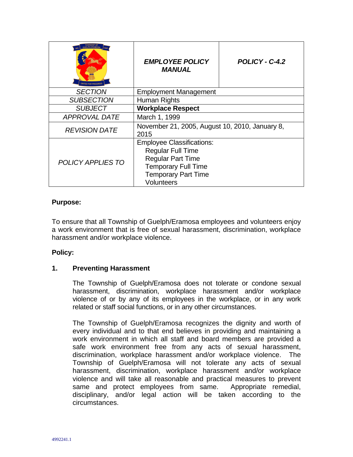| <b>IFI PH-FRAMOS/</b><br><b>UNITED FOR PROGRES!</b> | <b>EMPLOYEE POLICY</b><br><b>MANUAL</b>                | POLICY - C-4.2 |
|-----------------------------------------------------|--------------------------------------------------------|----------------|
| <b>SECTION</b>                                      | <b>Employment Management</b>                           |                |
| <b>SUBSECTION</b>                                   | Human Rights                                           |                |
| <b>SUBJECT</b>                                      | <b>Workplace Respect</b>                               |                |
| <b>APPROVAL DATE</b>                                | March 1, 1999                                          |                |
| <b>REVISION DATE</b>                                | November 21, 2005, August 10, 2010, January 8,<br>2015 |                |
| POLICY APPLIES TO                                   | <b>Employee Classifications:</b>                       |                |
|                                                     | <b>Regular Full Time</b>                               |                |
|                                                     | <b>Regular Part Time</b>                               |                |
|                                                     | <b>Temporary Full Time</b>                             |                |
|                                                     | <b>Temporary Part Time</b>                             |                |
|                                                     | Volunteers                                             |                |

#### **Purpose:**

To ensure that all Township of Guelph/Eramosa employees and volunteers enjoy a work environment that is free of sexual harassment, discrimination, workplace harassment and/or workplace violence.

#### **Policy:**

#### **1. Preventing Harassment**

The Township of Guelph/Eramosa does not tolerate or condone sexual harassment, discrimination, workplace harassment and/or workplace violence of or by any of its employees in the workplace, or in any work related or staff social functions, or in any other circumstances.

The Township of Guelph/Eramosa recognizes the dignity and worth of every individual and to that end believes in providing and maintaining a work environment in which all staff and board members are provided a safe work environment free from any acts of sexual harassment, discrimination, workplace harassment and/or workplace violence. The Township of Guelph/Eramosa will not tolerate any acts of sexual harassment, discrimination, workplace harassment and/or workplace violence and will take all reasonable and practical measures to prevent same and protect employees from same. Appropriate remedial, disciplinary, and/or legal action will be taken according to the circumstances.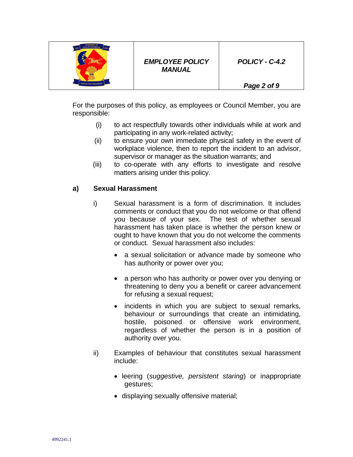

*Page 2 of 9*

For the purposes of this policy, as employees or Council Member, you are responsible:

- (i) to act respectfully towards other individuals while at work and participating in any work-related activity;
- (ii) to ensure your own immediate physical safety in the event of workplace violence, then to report the incident to an advisor, supervisor or manager as the situation warrants; and
- (iii) to co-operate with any efforts to investigate and resolve matters arising under this policy.

## **a) Sexual Harassment**

- i) Sexual harassment is a form of discrimination. It includes comments or conduct that you do not welcome or that offend you because of your sex. The test of whether sexual harassment has taken place is whether the person knew or ought to have known that you do not welcome the comments or conduct. Sexual harassment also includes:
	- a sexual solicitation or advance made by someone who has authority or power over you;
	- a person who has authority or power over you denying or threatening to deny you a benefit or career advancement for refusing a sexual request;
	- incidents in which you are subject to sexual remarks, behaviour or surroundings that create an intimidating, hostile, poisoned or offensive work environment, regardless of whether the person is in a position of authority over you.
- ii) Examples of behaviour that constitutes sexual harassment include:
	- leering (*suggestive, persistent staring*) or inappropriate gestures;
	- displaying sexually offensive material;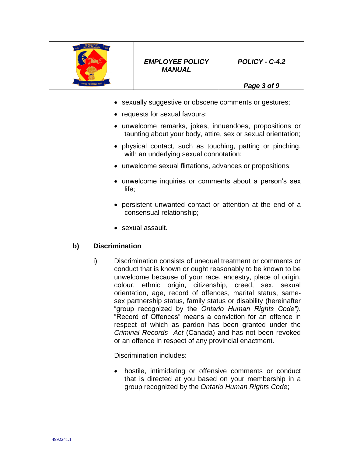

### *EMPLOYEE POLICY MANUAL*

*POLICY - C-4.2* 

*Page 3 of 9*

- sexually suggestive or obscene comments or gestures;
- requests for sexual favours;
- unwelcome remarks, jokes, innuendoes, propositions or taunting about your body, attire, sex or sexual orientation;
- physical contact, such as touching, patting or pinching, with an underlying sexual connotation;
- unwelcome sexual flirtations, advances or propositions;
- unwelcome inquiries or comments about a person's sex life;
- persistent unwanted contact or attention at the end of a consensual relationship;
- sexual assault.

## **b) Discrimination**

i) Discrimination consists of unequal treatment or comments or conduct that is known or ought reasonably to be known to be unwelcome because of your race, ancestry, place of origin, colour, ethnic origin, citizenship, creed, sex, sexual orientation, age, record of offences, marital status, samesex partnership status, family status or disability (hereinafter "group recognized by the *Ontario Human Rights Code").*  "Record of Offences" means a conviction for an offence in respect of which as pardon has been granted under the *Criminal Records Act* (Canada) and has not been revoked or an offence in respect of any provincial enactment.

Discrimination includes:

 hostile, intimidating or offensive comments or conduct that is directed at you based on your membership in a group recognized by the *Ontario Human Rights Code*;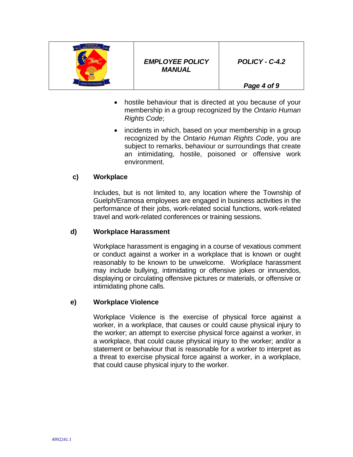

*Page 4 of 9*

- hostile behaviour that is directed at you because of your membership in a group recognized by the *Ontario Human Rights Code*;
- incidents in which, based on your membership in a group recognized by the *Ontario Human Rights Code*, you are subject to remarks, behaviour or surroundings that create an intimidating, hostile, poisoned or offensive work environment.

### **c) Workplace**

Includes, but is not limited to, any location where the Township of Guelph/Eramosa employees are engaged in business activities in the performance of their jobs, work-related social functions, work-related travel and work-related conferences or training sessions.

#### **d) Workplace Harassment**

Workplace harassment is engaging in a course of vexatious comment or conduct against a worker in a workplace that is known or ought reasonably to be known to be unwelcome. Workplace harassment may include bullying, intimidating or offensive jokes or innuendos, displaying or circulating offensive pictures or materials, or offensive or intimidating phone calls.

#### **e) Workplace Violence**

Workplace Violence is the exercise of physical force against a worker, in a workplace, that causes or could cause physical injury to the worker; an attempt to exercise physical force against a worker, in a workplace, that could cause physical injury to the worker; and/or a statement or behaviour that is reasonable for a worker to interpret as a threat to exercise physical force against a worker, in a workplace, that could cause physical injury to the worker.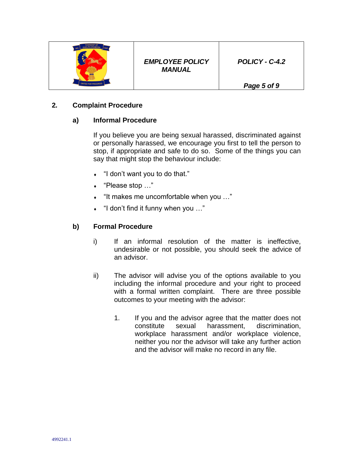

*Page 5 of 9*

# **2***.* **Complaint Procedure**

# **a) Informal Procedure**

If you believe you are being sexual harassed, discriminated against or personally harassed, we encourage you first to tell the person to stop, if appropriate and safe to do so. Some of the things you can say that might stop the behaviour include:

- "I don't want you to do that."
- "Please stop …"
- "It makes me uncomfortable when you …"
- "I don't find it funny when you …"

# **b) Formal Procedure**

- i) If an informal resolution of the matter is ineffective, undesirable or not possible, you should seek the advice of an advisor.
- ii) The advisor will advise you of the options available to you including the informal procedure and your right to proceed with a formal written complaint. There are three possible outcomes to your meeting with the advisor:
	- 1. If you and the advisor agree that the matter does not constitute sexual harassment, discrimination, workplace harassment and/or workplace violence, neither you nor the advisor will take any further action and the advisor will make no record in any file.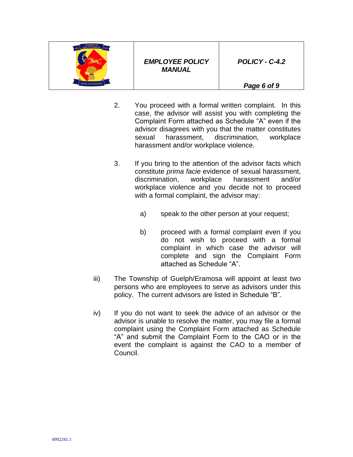

*Page 6 of 9*

- 2. You proceed with a formal written complaint. In this case, the advisor will assist you with completing the Complaint Form attached as Schedule "A" even if the advisor disagrees with you that the matter constitutes sexual harassment, discrimination, workplace harassment and/or workplace violence.
- 3. If you bring to the attention of the advisor facts which constitute *prima facie* evidence of sexual harassment, discrimination, workplace harassment and/or workplace violence and you decide not to proceed with a formal complaint, the advisor may:
	- a) speak to the other person at your request;
	- b) proceed with a formal complaint even if you do not wish to proceed with a formal complaint in which case the advisor will complete and sign the Complaint Form attached as Schedule "A".
- iii) The Township of Guelph/Eramosa will appoint at least two persons who are employees to serve as advisors under this policy. The current advisors are listed in Schedule "B".
- iv) If you do not want to seek the advice of an advisor or the advisor is unable to resolve the matter, you may file a formal complaint using the Complaint Form attached as Schedule "A" and submit the Complaint Form to the CAO or in the event the complaint is against the CAO to a member of Council.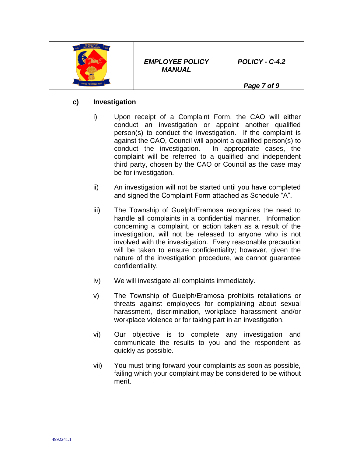

*Page 7 of 9*

# **c) Investigation**

- i) Upon receipt of a Complaint Form, the CAO will either conduct an investigation or appoint another qualified person(s) to conduct the investigation. If the complaint is against the CAO, Council will appoint a qualified person(s) to conduct the investigation. In appropriate cases, the complaint will be referred to a qualified and independent third party, chosen by the CAO or Council as the case may be for investigation.
- ii) An investigation will not be started until you have completed and signed the Complaint Form attached as Schedule "A".
- iii) The Township of Guelph/Eramosa recognizes the need to handle all complaints in a confidential manner. Information concerning a complaint, or action taken as a result of the investigation, will not be released to anyone who is not involved with the investigation. Every reasonable precaution will be taken to ensure confidentiality; however, given the nature of the investigation procedure, we cannot guarantee confidentiality.
- iv) We will investigate all complaints immediately.
- v) The Township of Guelph/Eramosa prohibits retaliations or threats against employees for complaining about sexual harassment, discrimination, workplace harassment and/or workplace violence or for taking part in an investigation.
- vi) Our objective is to complete any investigation and communicate the results to you and the respondent as quickly as possible.
- vii) You must bring forward your complaints as soon as possible, failing which your complaint may be considered to be without merit.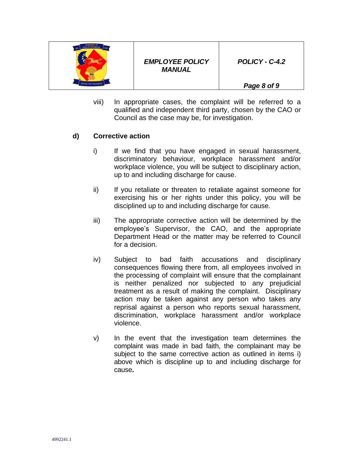

*Page 8 of 9*

viii) In appropriate cases, the complaint will be referred to a qualified and independent third party, chosen by the CAO or Council as the case may be, for investigation.

### **d) Corrective action**

- i) If we find that you have engaged in sexual harassment, discriminatory behaviour, workplace harassment and/or workplace violence, you will be subject to disciplinary action, up to and including discharge for cause.
- ii) If you retaliate or threaten to retaliate against someone for exercising his or her rights under this policy, you will be disciplined up to and including discharge for cause.
- iii) The appropriate corrective action will be determined by the employee's Supervisor, the CAO, and the appropriate Department Head or the matter may be referred to Council for a decision.
- iv) Subject to bad faith accusations and disciplinary consequences flowing there from, all employees involved in the processing of complaint will ensure that the complainant is neither penalized nor subjected to any prejudicial treatment as a result of making the complaint. Disciplinary action may be taken against any person who takes any reprisal against a person who reports sexual harassment, discrimination, workplace harassment and/or workplace violence.
- v) In the event that the investigation team determines the complaint was made in bad faith, the complainant may be subject to the same corrective action as outlined in items i) above which is discipline up to and including discharge for cause**.**